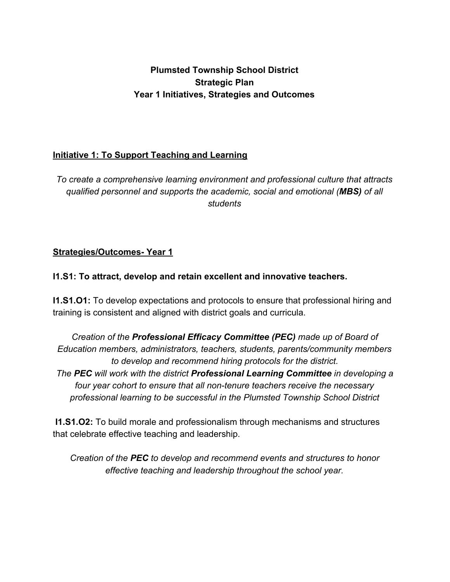## **Plumsted Township School District Strategic Plan Year 1 Initiatives, Strategies and Outcomes**

### **Initiative 1: To Support Teaching and Learning**

*To create a comprehensive learning environment and professional culture that attracts qualified personnel and supports the academic, social and emotional (MBS) of all students*

## **Strategies/Outcomes- Year 1**

### **I1.S1: To attract, develop and retain excellent and innovative teachers.**

**I1.S1.O1:** To develop expectations and protocols to ensure that professional hiring and training is consistent and aligned with district goals and curricula.

*Creation of the Professional Efficacy Committee (PEC) made up of Board of Education members, administrators, teachers, students, parents/community members to develop and recommend hiring protocols for the district. The PEC will work with the district Professional Learning Committee in developing a four year cohort to ensure that all non-tenure teachers receive the necessary*

*professional learning to be successful in the Plumsted Township School District*

 **I1.S1.O2:** To build morale and professionalism through mechanisms and structures that celebrate effective teaching and leadership.

*Creation of the PEC to develop and recommend events and structures to honor effective teaching and leadership throughout the school year.*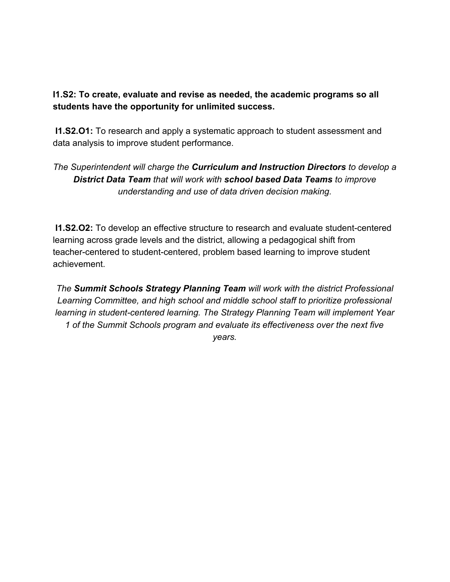### **I1.S2: To create, evaluate and revise as needed, the academic programs so all students have the opportunity for unlimited success.**

 **I1.S2.O1:** To research and apply a systematic approach to student assessment and data analysis to improve student performance.

# *The Superintendent will charge the Curriculum and Instruction Directors to develop a District Data Team that will work with school based Data Teams to improve understanding and use of data driven decision making.*

 **I1.S2.O2:** To develop an effective structure to research and evaluate student-centered learning across grade levels and the district, allowing a pedagogical shift from teacher-centered to student-centered, problem based learning to improve student achievement.

*The Summit Schools Strategy Planning Team will work with the district Professional Learning Committee, and high school and middle school staff to prioritize professional learning in student-centered learning. The Strategy Planning Team will implement Year 1 of the Summit Schools program and evaluate its effectiveness over the next five years.*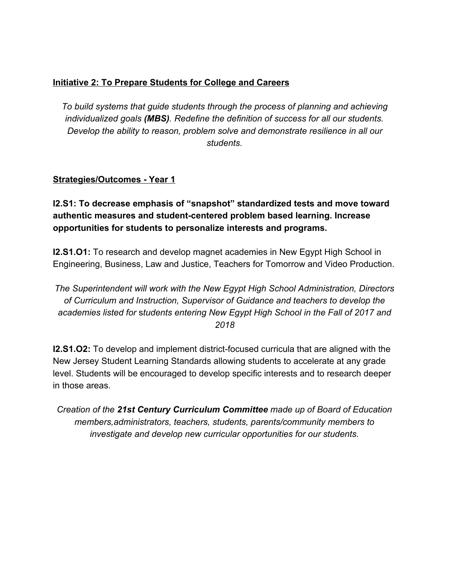### **Initiative 2: To Prepare Students for College and Careers**

*To build systems that guide students through the process of planning and achieving individualized goals (MBS). Redefine the definition of success for all our students. Develop the ability to reason, problem solve and demonstrate resilience in all our students.*

### **Strategies/Outcomes - Year 1**

**I2.S1: To decrease emphasis of "snapshot" standardized tests and move toward authentic measures and student-centered problem based learning. Increase opportunities for students to personalize interests and programs.**

**I2.S1.O1:** To research and develop magnet academies in New Egypt High School in Engineering, Business, Law and Justice, Teachers for Tomorrow and Video Production.

*The Superintendent will work with the New Egypt High School Administration, Directors of Curriculum and Instruction, Supervisor of Guidance and teachers to develop the academies listed for* s*tudents entering New Egypt High School in the Fall of 2017 and 2018*

**I2.S1.O2:** To develop and implement district-focused curricula that are aligned with the New Jersey Student Learning Standards allowing students to accelerate at any grade level. Students will be encouraged to develop specific interests and to research deeper in those areas.

*Creation of the 21st Century Curriculum Committee made up of Board of Education members,administrators, teachers, students, parents/community members to investigate and develop new curricular opportunities for our students.*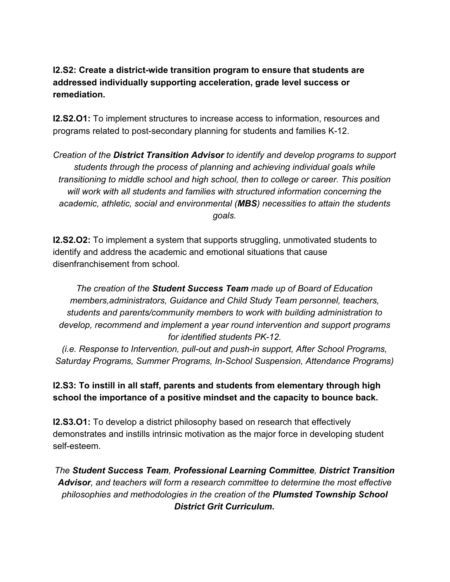## **I2.S2: Create a district-wide transition program to ensure that students are addressed individually supporting acceleration, grade level success or remediation.**

**I2.S2.O1:** To implement structures to increase access to information, resources and programs related to post-secondary planning for students and families K-12.

*Creation of the District Transition Advisor to identify and develop programs to support students through the process of planning and achieving individual goals while transitioning to middle school and high school, then to college or career. This position will work with all students and families with structured information concerning the academic, athletic, social and environmental (MBS) necessities to attain the students goals.*

**I2.S2.O2:** To implement a system that supports struggling, unmotivated students to identify and address the academic and emotional situations that cause disenfranchisement from school.

*The creation of the Student Success Team made up of Board of Education members,administrators, Guidance and Child Study Team personnel, teachers, students and parents/community members to work with building administration to develop, recommend and implement a year round intervention and support programs for identified students PK-12.*

*(i.e. Response to Intervention, pull-out and push-in support, After School Programs, Saturday Programs, Summer Programs, In-School Suspension, Attendance Programs)*

## **I2.S3: To instill in all staff, parents and students from elementary through high school the importance of a positive mindset and the capacity to bounce back.**

**I2.S3.O1:** To develop a district philosophy based on research that effectively demonstrates and instills intrinsic motivation as the major force in developing student self-esteem.

*The Student Success Team, Professional Learning Committee, District Transition Advisor, and teachers will form a research committee to determine the most effective philosophies and methodologies in the creation of the Plumsted Township School District Grit Curriculum.*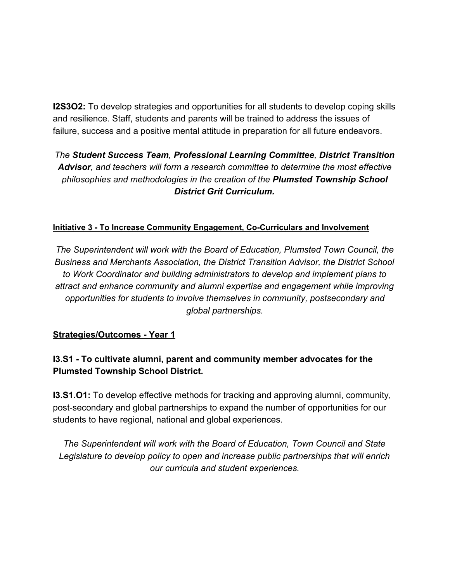**I2S3O2:** To develop strategies and opportunities for all students to develop coping skills and resilience. Staff, students and parents will be trained to address the issues of failure, success and a positive mental attitude in preparation for all future endeavors.

# *The Student Success Team, Professional Learning Committee, District Transition Advisor, and teachers will form a research committee to determine the most effective philosophies and methodologies in the creation of the Plumsted Township School District Grit Curriculum.*

#### **Initiative 3 - To Increase Community Engagement, Co-Curriculars and Involvement**

*The Superintendent will work with the Board of Education, Plumsted Town Council, the Business and Merchants Association, the District Transition Advisor, the District School to Work Coordinator and building administrators to develop and implement plans to attract and enhance community and alumni expertise and engagement while improving opportunities for students to involve themselves in community, postsecondary and global partnerships.*

#### **Strategies/Outcomes - Year 1**

### **I3.S1 - To cultivate alumni, parent and community member advocates for the Plumsted Township School District.**

**I3.S1.O1:** To develop effective methods for tracking and approving alumni, community, post-secondary and global partnerships to expand the number of opportunities for our students to have regional, national and global experiences.

*The Superintendent will work with the Board of Education, Town Council and State Legislature to develop policy to open and increase public partnerships that will enrich our curricula and student experiences.*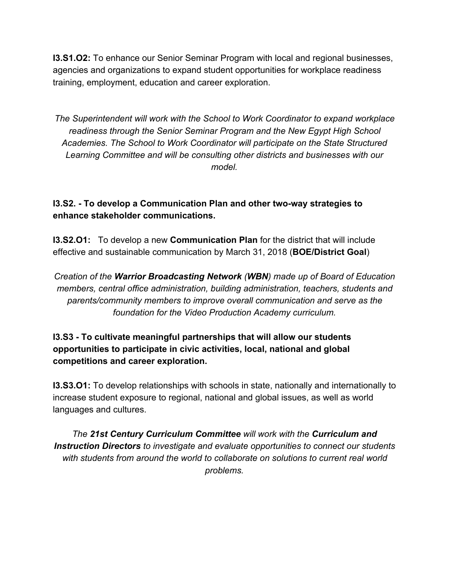**I3.S1.O2:** To enhance our Senior Seminar Program with local and regional businesses, agencies and organizations to expand student opportunities for workplace readiness training, employment, education and career exploration.

*The Superintendent will work with the School to Work Coordinator to expand workplace readiness through the Senior Seminar Program and the New Egypt High School Academies. The School to Work Coordinator will participate on the State Structured Learning Committee and will be consulting other districts and businesses with our model.*

## **I3.S2. - To develop a Communication Plan and other two-way strategies to enhance stakeholder communications.**

**I3.S2.O1:** To develop a new **Communication Plan** for the district that will include effective and sustainable communication by March 31, 2018 (**BOE/District Goal**)

*Creation of the Warrior Broadcasting Network (WBN) made up of Board of Education members, central office administration, building administration, teachers, students and parents/community members to improve overall communication and serve as the foundation for the Video Production Academy curriculum.*

## **I3.S3 - To cultivate meaningful partnerships that will allow our students opportunities to participate in civic activities, local, national and global competitions and career exploration.**

**I3.S3.O1:** To develop relationships with schools in state, nationally and internationally to increase student exposure to regional, national and global issues, as well as world languages and cultures.

*The 21st Century Curriculum Committee will work with the Curriculum and Instruction Directors to investigate and evaluate opportunities to connect our students with students from around the world to collaborate on solutions to current real world problems.*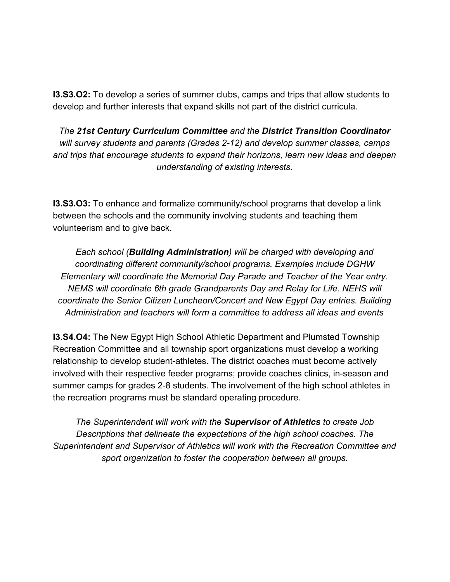**I3.S3.O2:** To develop a series of summer clubs, camps and trips that allow students to develop and further interests that expand skills not part of the district curricula.

*The 21st Century Curriculum Committee and the District Transition Coordinator will survey students and parents (Grades 2-12) and develop summer classes, camps and trips that encourage students to expand their horizons, learn new ideas and deepen understanding of existing interests.*

**I3.S3.O3:** To enhance and formalize community/school programs that develop a link between the schools and the community involving students and teaching them volunteerism and to give back.

*Each school (Building Administration) will be charged with developing and coordinating different community/school programs. Examples include DGHW Elementary will coordinate the Memorial Day Parade and Teacher of the Year entry. NEMS will coordinate 6th grade Grandparents Day and Relay for Life. NEHS will coordinate the Senior Citizen Luncheon/Concert and New Egypt Day entries. Building Administration and teachers will form a committee to address all ideas and events*

**I3.S4.O4:** The New Egypt High School Athletic Department and Plumsted Township Recreation Committee and all township sport organizations must develop a working relationship to develop student-athletes. The district coaches must become actively involved with their respective feeder programs; provide coaches clinics, in-season and summer camps for grades 2-8 students. The involvement of the high school athletes in the recreation programs must be standard operating procedure.

*The Superintendent will work with the Supervisor of Athletics to create Job Descriptions that delineate the expectations of the high school coaches. The Superintendent and Supervisor of Athletics will work with the Recreation Committee and sport organization to foster the cooperation between all groups.*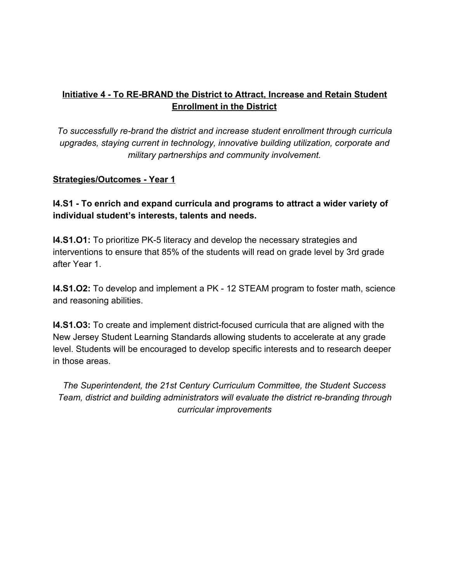## **Initiative 4 - To RE-BRAND the District to Attract, Increase and Retain Student Enrollment in the District**

*To successfully re-brand the district and increase student enrollment through curricula upgrades, staying current in technology, innovative building utilization, corporate and military partnerships and community involvement.*

### **Strategies/Outcomes - Year 1**

**I4.S1 - To enrich and expand curricula and programs to attract a wider variety of individual student's interests, talents and needs.**

**I4.S1.O1:** To prioritize PK-5 literacy and develop the necessary strategies and interventions to ensure that 85% of the students will read on grade level by 3rd grade after Year 1.

**I4.S1.O2:** To develop and implement a PK - 12 STEAM program to foster math, science and reasoning abilities.

**I4.S1.O3:** To create and implement district-focused curricula that are aligned with the New Jersey Student Learning Standards allowing students to accelerate at any grade level. Students will be encouraged to develop specific interests and to research deeper in those areas.

*The Superintendent, the 21st Century Curriculum Committee, the Student Success Team, district and building administrators will evaluate the district re-branding through curricular improvements*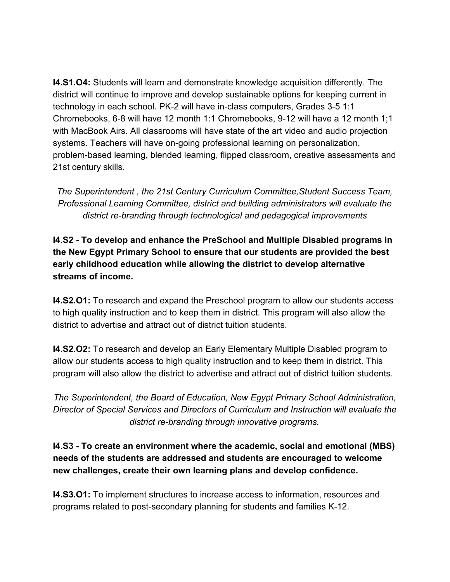**I4.S1.O4:** Students will learn and demonstrate knowledge acquisition differently. The district will continue to improve and develop sustainable options for keeping current in technology in each school. PK-2 will have in-class computers, Grades 3-5 1:1 Chromebooks, 6-8 will have 12 month 1:1 Chromebooks, 9-12 will have a 12 month 1;1 with MacBook Airs. All classrooms will have state of the art video and audio projection systems. Teachers will have on-going professional learning on personalization, problem-based learning, blended learning, flipped classroom, creative assessments and 21st century skills.

*The Superintendent , the 21st Century Curriculum Committee,Student Success Team, Professional Learning Committee, district and building administrators will evaluate the district re-branding through technological and pedagogical improvements*

**I4.S2 - To develop and enhance the PreSchool and Multiple Disabled programs in the New Egypt Primary School to ensure that our students are provided the best early childhood education while allowing the district to develop alternative streams of income.**

**I4.S2.O1:** To research and expand the Preschool program to allow our students access to high quality instruction and to keep them in district. This program will also allow the district to advertise and attract out of district tuition students.

**I4.S2.O2:** To research and develop an Early Elementary Multiple Disabled program to allow our students access to high quality instruction and to keep them in district. This program will also allow the district to advertise and attract out of district tuition students.

*The Superintendent, the Board of Education, New Egypt Primary School Administration, Director of Special Services and Directors of Curriculum and Instruction will evaluate the district re-branding through innovative programs.*

**I4.S3 - To create an environment where the academic, social and emotional (MBS) needs of the students are addressed and students are encouraged to welcome new challenges, create their own learning plans and develop confidence.**

**I4.S3.O1:** To implement structures to increase access to information, resources and programs related to post-secondary planning for students and families K-12.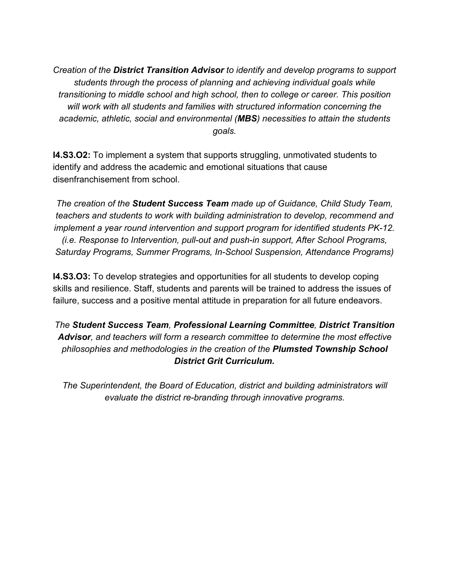*Creation of the District Transition Advisor to identify and develop programs to support students through the process of planning and achieving individual goals while transitioning to middle school and high school, then to college or career. This position will work with all students and families with structured information concerning the academic, athletic, social and environmental (MBS) necessities to attain the students goals.*

**I4.S3.O2:** To implement a system that supports struggling, unmotivated students to identify and address the academic and emotional situations that cause disenfranchisement from school.

*The creation of the Student Success Team made up of Guidance, Child Study Team, teachers and students to work with building administration to develop, recommend and implement a year round intervention and support program for identified students PK-12. (i.e. Response to Intervention, pull-out and push-in support, After School Programs, Saturday Programs, Summer Programs, In-School Suspension, Attendance Programs)*

**I4.S3.O3:** To develop strategies and opportunities for all students to develop coping skills and resilience. Staff, students and parents will be trained to address the issues of failure, success and a positive mental attitude in preparation for all future endeavors.

*The Student Success Team, Professional Learning Committee, District Transition Advisor, and teachers will form a research committee to determine the most effective philosophies and methodologies in the creation of the Plumsted Township School District Grit Curriculum.*

*The Superintendent, the Board of Education, district and building administrators will evaluate the district re-branding through innovative programs.*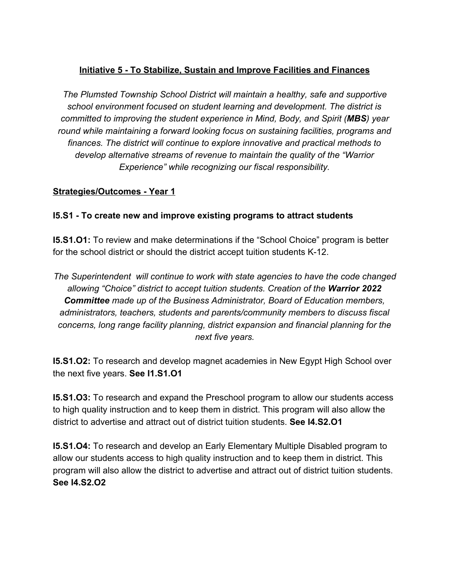## **Initiative 5 - To Stabilize, Sustain and Improve Facilities and Finances**

*The Plumsted Township School District will maintain a healthy, safe and supportive school environment focused on student learning and development. The district is committed to improving the student experience in Mind, Body, and Spirit (MBS) year round while maintaining a forward looking focus on sustaining facilities, programs and finances. The district will continue to explore innovative and practical methods to develop alternative streams of revenue to maintain the quality of the "Warrior Experience" while recognizing our fiscal responsibility.*

### **Strategies/Outcomes - Year 1**

### **I5.S1 - To create new and improve existing programs to attract students**

**I5.S1.O1:** To review and make determinations if the "School Choice" program is better for the school district or should the district accept tuition students K-12.

*The Superintendent will continue to work with state agencies to have the code changed allowing "Choice" district to accept tuition students. Creation of the Warrior 2022 Committee made up of the Business Administrator, Board of Education members, administrators, teachers, students and parents/community members to discuss fiscal concerns, long range facility planning, district expansion and financial planning for the next five years.*

**I5.S1.O2:** To research and develop magnet academies in New Egypt High School over the next five years. **See I1.S1.O1**

**I5.S1.O3:** To research and expand the Preschool program to allow our students access to high quality instruction and to keep them in district. This program will also allow the district to advertise and attract out of district tuition students. **See I4.S2.O1**

**I5.S1.O4:** To research and develop an Early Elementary Multiple Disabled program to allow our students access to high quality instruction and to keep them in district. This program will also allow the district to advertise and attract out of district tuition students. **See I4.S2.O2**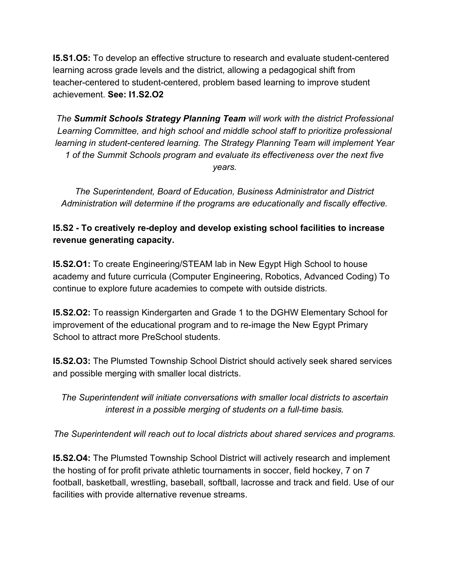**I5.S1.O5:** To develop an effective structure to research and evaluate student-centered learning across grade levels and the district, allowing a pedagogical shift from teacher-centered to student-centered, problem based learning to improve student achievement. **See: I1.S2.O2**

*The Summit Schools Strategy Planning Team will work with the district Professional Learning Committee, and high school and middle school staff to prioritize professional learning in student-centered learning. The Strategy Planning Team will implement Year 1 of the Summit Schools program and evaluate its effectiveness over the next five years.*

*The Superintendent, Board of Education, Business Administrator and District Administration will determine if the programs are educationally and fiscally effective.*

# **I5.S2 - To creatively re-deploy and develop existing school facilities to increase revenue generating capacity.**

**I5.S2.O1:** To create Engineering/STEAM lab in New Egypt High School to house academy and future curricula (Computer Engineering, Robotics, Advanced Coding) To continue to explore future academies to compete with outside districts.

**I5.S2.O2:** To reassign Kindergarten and Grade 1 to the DGHW Elementary School for improvement of the educational program and to re-image the New Egypt Primary School to attract more PreSchool students.

**I5.S2.O3:** The Plumsted Township School District should actively seek shared services and possible merging with smaller local districts.

*The Superintendent will initiate conversations with smaller local districts to ascertain interest in a possible merging of students on a full-time basis.*

*The Superintendent will reach out to local districts about shared services and programs.*

**I5.S2.O4:** The Plumsted Township School District will actively research and implement the hosting of for profit private athletic tournaments in soccer, field hockey, 7 on 7 football, basketball, wrestling, baseball, softball, lacrosse and track and field. Use of our facilities with provide alternative revenue streams.